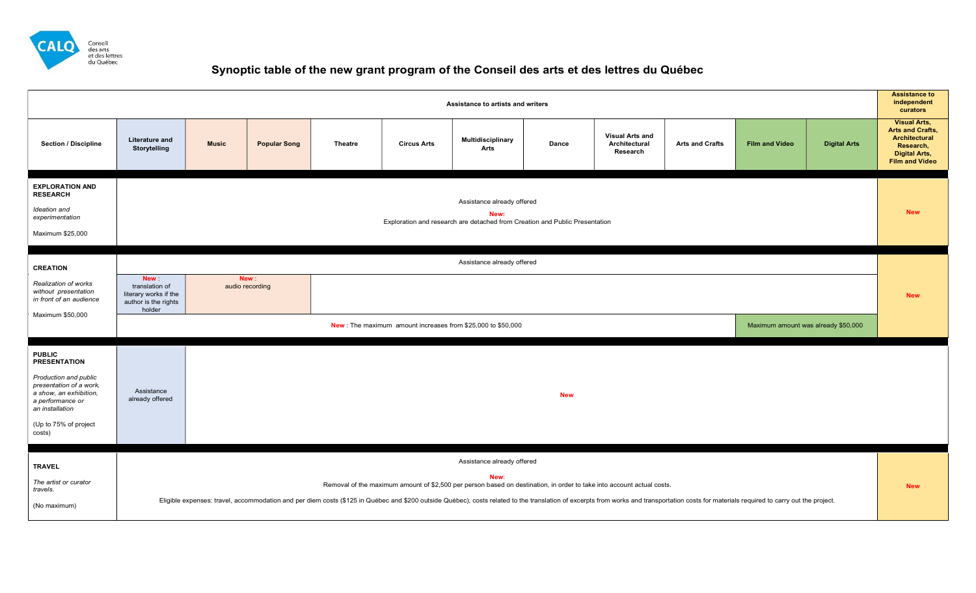

## Synoptic table of the new grant program of the Conseil des arts et des lettres du Québec

| <b>Visual Arts,</b><br><b>Arts and Crafts,</b><br><b>Visual Arts and</b><br>Architectural<br>Multidisciplinary<br><b>Literature and</b><br><b>Section / Discipline</b><br><b>Music</b><br>Architectural<br><b>Arts and Crafts</b><br><b>Film and Video</b><br><b>Digital Arts</b><br><b>Popular Song</b><br><b>Theatre</b><br><b>Circus Arts</b><br><b>Dance</b><br>Research,<br>Storytelling<br>Arts<br>Research<br><b>Digital Arts,</b><br><b>Film and Video</b><br><b>EXPLORATION AND</b><br><b>RESEARCH</b><br>Assistance already offered<br>Ideation and<br><b>New</b><br>New:<br>experimentation<br>Exploration and research are detached from Creation and Public Presentation<br>Maximum \$25,000<br>Assistance already offered<br><b>CREATION</b><br><b>New</b><br><b>New</b><br>Realization of works<br>translation of<br>audio recording<br>without presentation<br>literary works if the<br><b>New</b><br>in front of an audience<br>author is the rights<br>holder<br>Maximum \$50,000<br>New: The maximum amount increases from \$25,000 to \$50,000<br>Maximum amount was already \$50,000<br><b>PUBLIC</b><br><b>PRESENTATION</b><br>Production and public<br>presentation of a work,<br>Assistance<br>a show, an exhibition,<br><b>New</b><br>already offered<br>a performance or<br>an installation<br>(Up to 75% of project<br>costs)<br>Assistance already offered<br><b>TRAVEL</b><br><b>New</b><br>The artist or curator<br>Removal of the maximum amount of \$2,500 per person based on destination, in order to take into account actual costs.<br><b>New</b><br>travels.<br>Eligible expenses: travel, accommodation and per diem costs (\$125 in Québec and \$200 outside Québec), costs related to the translation of excerpts from works and transportation costs for materials required to carry out the<br>(No maximum) | <b>Assistance to</b><br>independent<br>Assistance to artists and writers<br>curators |  |  |  |  |  |  |  |  |  |  |  |  |
|-------------------------------------------------------------------------------------------------------------------------------------------------------------------------------------------------------------------------------------------------------------------------------------------------------------------------------------------------------------------------------------------------------------------------------------------------------------------------------------------------------------------------------------------------------------------------------------------------------------------------------------------------------------------------------------------------------------------------------------------------------------------------------------------------------------------------------------------------------------------------------------------------------------------------------------------------------------------------------------------------------------------------------------------------------------------------------------------------------------------------------------------------------------------------------------------------------------------------------------------------------------------------------------------------------------------------------------------------------------------------------------------------------------------------------------------------------------------------------------------------------------------------------------------------------------------------------------------------------------------------------------------------------------------------------------------------------------------------------------------------------------------------------------------------------------------------------------------------------|--------------------------------------------------------------------------------------|--|--|--|--|--|--|--|--|--|--|--|--|
|                                                                                                                                                                                                                                                                                                                                                                                                                                                                                                                                                                                                                                                                                                                                                                                                                                                                                                                                                                                                                                                                                                                                                                                                                                                                                                                                                                                                                                                                                                                                                                                                                                                                                                                                                                                                                                                       |                                                                                      |  |  |  |  |  |  |  |  |  |  |  |  |
|                                                                                                                                                                                                                                                                                                                                                                                                                                                                                                                                                                                                                                                                                                                                                                                                                                                                                                                                                                                                                                                                                                                                                                                                                                                                                                                                                                                                                                                                                                                                                                                                                                                                                                                                                                                                                                                       |                                                                                      |  |  |  |  |  |  |  |  |  |  |  |  |
|                                                                                                                                                                                                                                                                                                                                                                                                                                                                                                                                                                                                                                                                                                                                                                                                                                                                                                                                                                                                                                                                                                                                                                                                                                                                                                                                                                                                                                                                                                                                                                                                                                                                                                                                                                                                                                                       |                                                                                      |  |  |  |  |  |  |  |  |  |  |  |  |
|                                                                                                                                                                                                                                                                                                                                                                                                                                                                                                                                                                                                                                                                                                                                                                                                                                                                                                                                                                                                                                                                                                                                                                                                                                                                                                                                                                                                                                                                                                                                                                                                                                                                                                                                                                                                                                                       |                                                                                      |  |  |  |  |  |  |  |  |  |  |  |  |
|                                                                                                                                                                                                                                                                                                                                                                                                                                                                                                                                                                                                                                                                                                                                                                                                                                                                                                                                                                                                                                                                                                                                                                                                                                                                                                                                                                                                                                                                                                                                                                                                                                                                                                                                                                                                                                                       |                                                                                      |  |  |  |  |  |  |  |  |  |  |  |  |